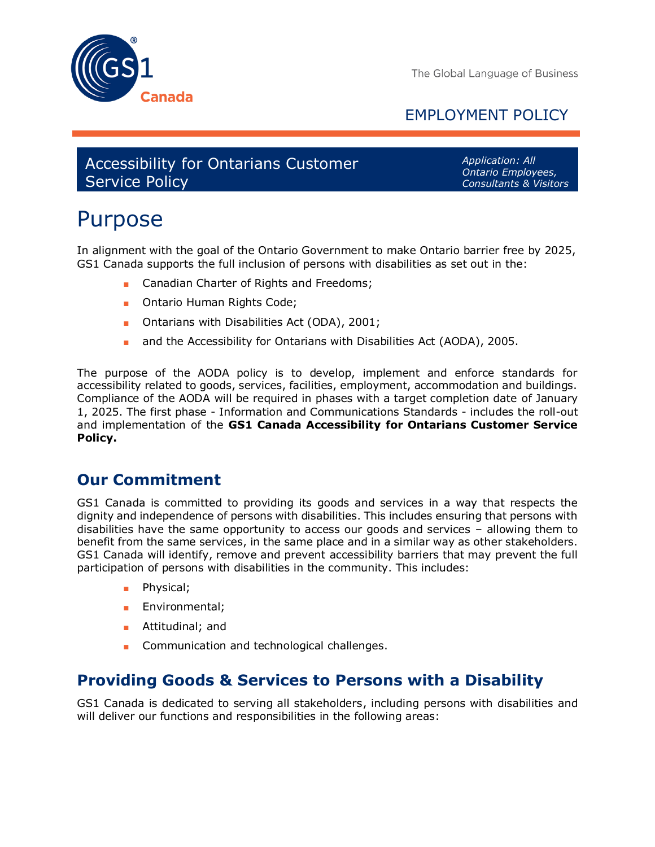

The Global Language of Business

# EMPLOYMENT POLICY

Accessibility for Ontarians Customer Service Policy

*Application: All Ontario Employees, Consultants & Visitors*

# Purpose

In alignment with the goal of the Ontario Government to make Ontario barrier free by 2025, GS1 Canada supports the full inclusion of persons with disabilities as set out in the:

- Canadian Charter of Rights and Freedoms;
- Ontario Human Rights Code;
- Ontarians with Disabilities Act (ODA), 2001;
- and the Accessibility for Ontarians with Disabilities Act (AODA), 2005.

The purpose of the AODA policy is to develop, implement and enforce standards for accessibility related to goods, services, facilities, employment, accommodation and buildings. Compliance of the AODA will be required in phases with a target completion date of January 1, 2025. The first phase - Information and Communications Standards - includes the roll-out and implementation of the **GS1 Canada Accessibility for Ontarians Customer Service Policy.**

## **Our Commitment**

GS1 Canada is committed to providing its goods and services in a way that respects the dignity and independence of persons with disabilities. This includes ensuring that persons with disabilities have the same opportunity to access our goods and services – allowing them to benefit from the same services, in the same place and in a similar way as other stakeholders. GS1 Canada will identify, remove and prevent accessibility barriers that may prevent the full participation of persons with disabilities in the community. This includes:

- Physical;
- Environmental;
- Attitudinal; and
- Communication and technological challenges.

## **Providing Goods & Services to Persons with a Disability**

GS1 Canada is dedicated to serving all stakeholders, including persons with disabilities and will deliver our functions and responsibilities in the following areas: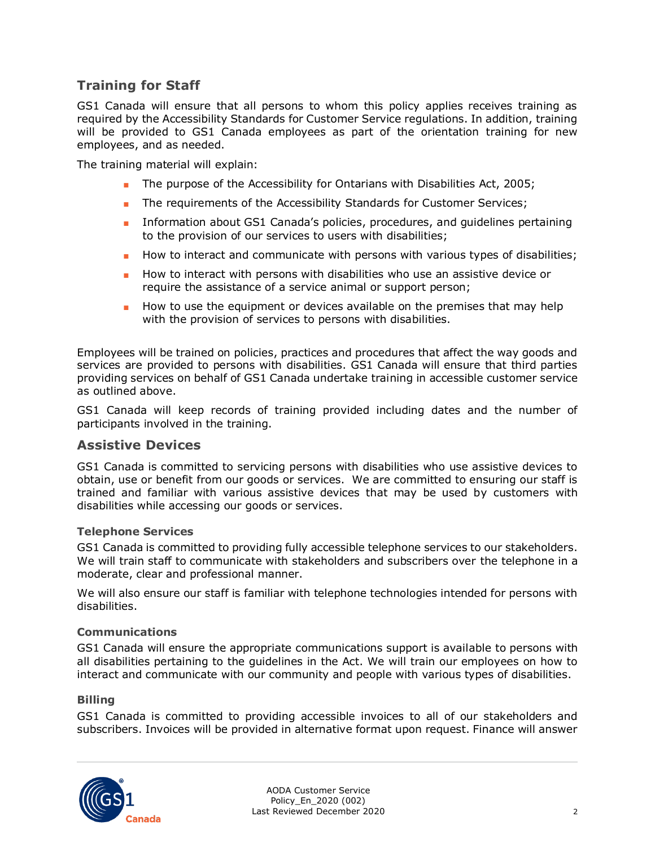## **Training for Staff**

GS1 Canada will ensure that all persons to whom this policy applies receives training as required by the Accessibility Standards for Customer Service regulations. In addition, training will be provided to GS1 Canada employees as part of the orientation training for new employees, and as needed.

The training material will explain:

- The purpose of the Accessibility for Ontarians with Disabilities Act, 2005;
- The requirements of the Accessibility Standards for Customer Services;
- Information about GS1 Canada's policies, procedures, and quidelines pertaining to the provision of our services to users with disabilities;
- How to interact and communicate with persons with various types of disabilities;
- How to interact with persons with disabilities who use an assistive device or require the assistance of a service animal or support person;
- How to use the equipment or devices available on the premises that may help with the provision of services to persons with disabilities.

Employees will be trained on policies, practices and procedures that affect the way goods and services are provided to persons with disabilities. GS1 Canada will ensure that third parties providing services on behalf of GS1 Canada undertake training in accessible customer service as outlined above.

GS1 Canada will keep records of training provided including dates and the number of participants involved in the training.

### **Assistive Devices**

GS1 Canada is committed to servicing persons with disabilities who use assistive devices to obtain, use or benefit from our goods or services. We are committed to ensuring our staff is trained and familiar with various assistive devices that may be used by customers with disabilities while accessing our goods or services.

#### **Telephone Services**

GS1 Canada is committed to providing fully accessible telephone services to our stakeholders. We will train staff to communicate with stakeholders and subscribers over the telephone in a moderate, clear and professional manner.

We will also ensure our staff is familiar with telephone technologies intended for persons with disabilities.

#### **Communications**

GS1 Canada will ensure the appropriate communications support is available to persons with all disabilities pertaining to the guidelines in the Act. We will train our employees on how to interact and communicate with our community and people with various types of disabilities.

#### **Billing**

GS1 Canada is committed to providing accessible invoices to all of our stakeholders and subscribers. Invoices will be provided in alternative format upon request. Finance will answer



AODA Customer Service Policy\_En\_2020 (002) Last Reviewed December 2020 **2020** 2